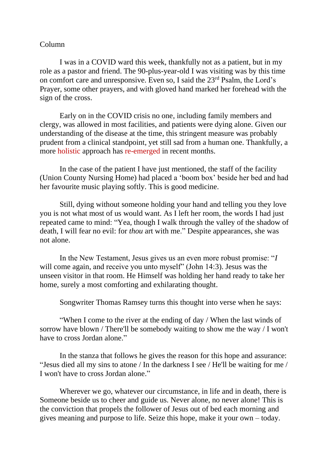## Column

I was in a COVID ward this week, thankfully not as a patient, but in my role as a pastor and friend. The 90-plus-year-old I was visiting was by this time on comfort care and unresponsive. Even so, I said the 23rd Psalm, the Lord's Prayer, some other prayers, and with gloved hand marked her forehead with the sign of the cross.

Early on in the COVID crisis no one, including family members and clergy, was allowed in most facilities, and patients were dying alone. Given our understanding of the disease at the time, this stringent measure was probably prudent from a clinical standpoint, yet still sad from a human one. Thankfully, a more holistic approach has re-emerged in recent months.

In the case of the patient I have just mentioned, the staff of the facility (Union County Nursing Home) had placed a 'boom box' beside her bed and had her favourite music playing softly. This is good medicine.

Still, dying without someone holding your hand and telling you they love you is not what most of us would want. As I left her room, the words I had just repeated came to mind: "Yea, though I walk through the valley of the shadow of death, I will fear no evil: for *thou* art with me." Despite appearances, she was not alone.

In the New Testament, Jesus gives us an even more robust promise: "*I* will come again, and receive you unto myself" (John 14:3). Jesus was the unseen visitor in that room. He Himself was holding her hand ready to take her home, surely a most comforting and exhilarating thought.

Songwriter Thomas Ramsey turns this thought into verse when he says:

"When I come to the river at the ending of day / When the last winds of sorrow have blown / There'll be somebody waiting to show me the way / I won't have to cross Jordan alone."

In the stanza that follows he gives the reason for this hope and assurance: "Jesus died all my sins to atone / In the darkness I see / He'll be waiting for me / I won't have to cross Jordan alone."

Wherever we go, whatever our circumstance, in life and in death, there is Someone beside us to cheer and guide us. Never alone, no never alone! This is the conviction that propels the follower of Jesus out of bed each morning and gives meaning and purpose to life. Seize this hope, make it your own – today.